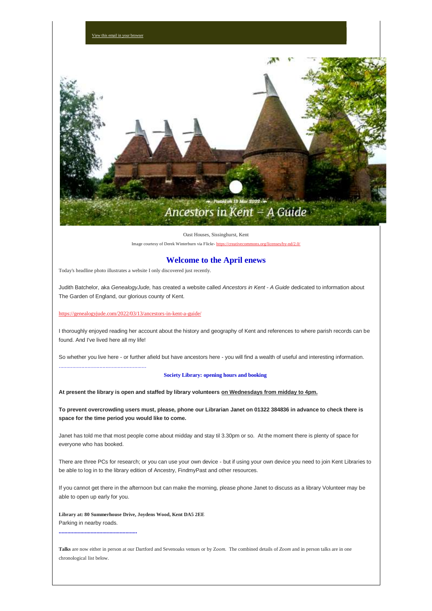

Oast Houses, Sissinghurst, Kent

Image courtesy of Derek Winterburn via Flickr- [https://creativecommons.org/licenses/by-nd/2.0/](https://nwkfhs.us4.list-manage.com/track/click?u=cde10858510442d6e71f0f3a6&id=a2319afb6e&e=a709ee61ff)

# **Welcome to the April enews**

Today's headline photo illustrates a website I only discovered just recently.

Judith Batchelor, aka *GenealogyJude,* has created a website called *Ancestors in Kent - A Guide* dedicated to information about The Garden of England, our glorious county of Kent.

# [https://genealogyjude.com/2022/03/13/ancestors-in-kent-a-guide/](https://nwkfhs.us4.list-manage.com/track/click?u=cde10858510442d6e71f0f3a6&id=85f83d85ea&e=a709ee61ff)

..........................................................

I thoroughly enjoyed reading her account about the history and geography of Kent and references to where parish records can be found. And I've lived here all my life!

So whether you live here - or further afield but have ancestors here - you will find a wealth of useful and interesting information.

#### **Society Library: opening hours and booking**

**At present the library is open and staffed by library volunteers on Wednesdays from midday to 4pm.**

**To prevent overcrowding users must, please, phone our Librarian Janet on 01322 384836 in advance to check there is space for the time period you would like to come.**

Janet has told me that most people come about midday and stay til 3.30pm or so. At the moment there is plenty of space for everyone who has booked.

There are three PCs for research; or you can use your own device - but if using your own device you need to join Kent Libraries to be able to log in to the library edition of Ancestry, FindmyPast and other resources.

If you cannot get there in the afternoon but can make the morning, please phone Janet to discuss as a library Volunteer may be able to open up early for you.

**Library at: 80 Summerhouse Drive, Joydens Wood, Kent DA5 2EE** Parking in nearby roads.

**......................................................**

**Talks** are now either in person at our Dartford and Sevenoaks venues or by Z*oom*. The combined details of *Zoom* and in person talks are in one chronological list below.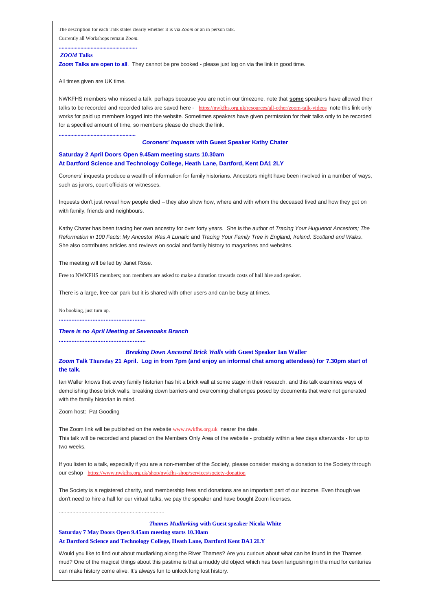The description for each Talk states clearly whether it is via *Zoom* or an in person talk. Currently all Workshops remain *Zoom*.

#### *ZOOM* **Talks**

**Zoom Talks are open to all**. They cannot be pre booked - please just log on via the link in good time.

All times given are UK time.

**.....................................................**

**......................................................**

NWKFHS members who missed a talk, perhaps because you are not in our timezone, note that **some** speakers have allowed their talks to be recorded and recorded talks are saved here - [https://nwkfhs.org.uk/resources/all-other/zoom-talk-videos](https://nwkfhs.us4.list-manage.com/track/click?u=cde10858510442d6e71f0f3a6&id=f2880f59c2&e=a709ee61ff) note this link only works for paid up members logged into the website. Sometimes speakers have given permission for their talks only to be recorded for a specified amount of time, so members please do check the link.

#### *Coroners' Inquests* **with Guest Speaker Kathy Chater**

# **Saturday 2 April Doors Open 9.45am meeting starts 10.30am At Dartford Science and Technology College, Heath Lane, Dartford, Kent DA1 2LY**

Coroners' inquests produce a wealth of information for family historians. Ancestors might have been involved in a number of ways, such as jurors, court officials or witnesses.

Inquests don't just reveal how people died – they also show how, where and with whom the deceased lived and how they got on with family, friends and neighbours.

Kathy Chater has been tracing her own ancestry for over forty years. She is the author of *Tracing Your Huguenot Ancestors; The Reformation in 100 Facts; My Ancestor Was A Lunatic* and *Tracing Your Family Tree in England, Ireland, Scotland and Wales*. She also contributes articles and reviews on social and family history to magazines and websites.

The meeting will be led by Janet Rose.

Free to NWKFHS members; non members are asked to make a donation towards costs of hall hire and speaker.

There is a large, free car park but it is shared with other users and can be busy at times.

No booking, just turn up.

**......................................................**

# *There is no April Meeting at Sevenoaks Branch*

**......................................................**

......................................................................

## *Breaking Down Ancestral Brick Walls* **with Guest Speaker Ian Waller**

*Zoom* **Talk Thursday 21 April. Log in from 7pm (and enjoy an informal chat among attendees) for 7.30pm start of the talk.**

Ian Waller knows that every family historian has hit a brick wall at some stage in their research, and this talk examines ways of demolishing those brick walls, breaking down barriers and overcoming challenges posed by documents that were not generated with the family historian in mind.

Zoom host: Pat Gooding

The Zoom link will be published on the website [www.nwkfhs.org.uk](https://nwkfhs.us4.list-manage.com/track/click?u=cde10858510442d6e71f0f3a6&id=294814d989&e=a709ee61ff) nearer the date. This talk will be recorded and placed on the Members Only Area of the website - probably within a few days afterwards - for up to two weeks.

If you listen to a talk, especially if you are a non-member of the Society, please consider making a donation to the Society through our eshop [https://www.nwkfhs.org.uk/shop/nwkfhs-shop/services/society-donation](https://nwkfhs.us4.list-manage.com/track/click?u=cde10858510442d6e71f0f3a6&id=5e24d13176&e=a709ee61ff)

The Society is a registered charity, and membership fees and donations are an important part of our income. Even though we don't need to hire a hall for our virtual talks, we pay the speaker and have bought Zoom licenses.

*Thames Mudlarking* **with Guest speaker Nicola White Saturday 7 May Doors Open 9.45am meeting starts 10.30am At Dartford Science and Technology College, Heath Lane, Dartford Kent DA1 2LY**

Would you like to find out about mudlarking along the River Thames? Are you curious about what can be found in the Thames mud? One of the magical things about this pastime is that a muddy old object which has been languishing in the mud for centuries can make history come alive. It's always fun to unlock long lost history.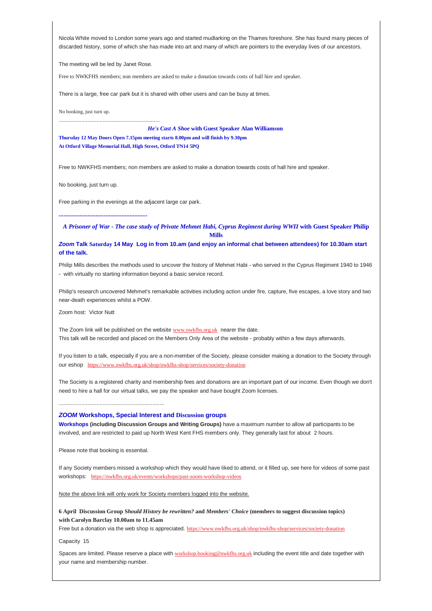Nicola White moved to London some years ago and started mudlarking on the Thames foreshore. She has found many pieces of discarded history, some of which she has made into art and many of which are pointers to the everyday lives of our ancestors.

The meeting will be led by Janet Rose.

...................................................................

Free to NWKFHS members; non members are asked to make a donation towards costs of hall hire and speaker.

There is a large, free car park but it is shared with other users and can be busy at times.

No booking, just turn up.

*He's Cast A Shoe* **with Guest Speaker Alan Williamson Thursday 12 May Doors Open 7.15pm meeting starts 8.00pm and will finish by 9.30pm At Otford Village Memorial Hall, High Street, Otford TN14 5PQ**

Free to NWKFHS members; non members are asked to make a donation towards costs of hall hire and speaker.

No booking, just turn up.

Free parking in the evenings at the adjacent large car park.

**.......................................................**

*A Prisoner of War - The case study of Private Mehmet Habi, Cyprus Regiment during WWII* **with Guest Speaker Philip Mills**

*Zoom* **Talk Saturday 14 May Log in from 10.am (and enjoy an informal chat between attendees) for 10.30am start of the talk.**

Philip Mills describes the methods used to uncover the history of Mehmet Habi - who served in the Cyprus Regiment 1940 to 1946 - with virtually no starting information beyond a basic service record.

Philip's research uncovered Mehmet's remarkable activities including action under fire, capture, five escapes, a love story and two near-death experiences whilst a POW.

Zoom host: Victor Nutt

The Zoom link will be published on the website [www.nwkfhs.org.uk](https://nwkfhs.us4.list-manage.com/track/click?u=cde10858510442d6e71f0f3a6&id=b138533e56&e=a709ee61ff) nearer the date. This talk will be recorded and placed on the Members Only Area of the website - probably within a few days afterwards.

If you listen to a talk, especially if you are a non-member of the Society, please consider making a donation to the Society through our eshop [https://www.nwkfhs.org.uk/shop/nwkfhs-shop/services/society-donation](https://nwkfhs.us4.list-manage.com/track/click?u=cde10858510442d6e71f0f3a6&id=928f571f0d&e=a709ee61ff)

The Society is a registered charity and membership fees and donations are an important part of our income. Even though we don't need to hire a hall for our virtual talks, we pay the speaker and have bought Zoom licenses.

#### *ZOOM* **Workshops, Special Interest and Discussion groups**

**Workshops (including Discussion Groups and Writing Groups)** have a maximum number to allow all participants to be involved, and are restricted to paid up North West Kent FHS members only. They generally last for about 2 hours.

Please note that booking is essential.

......................................................................

If any Society members missed a workshop which they would have liked to attend, or it filled up, see here for videos of some past workshops: [https://nwkfhs.org.uk/events/workshops/past-zoom-workshop-videos](https://nwkfhs.us4.list-manage.com/track/click?u=cde10858510442d6e71f0f3a6&id=121ecc613e&e=a709ee61ff)

Note the above link will only work for Society members logged into the website.

**6 April Discussion Group S***hould History be rewritten?* **and** *Members' Choice* **(members to suggest discussion topics) with Carolyn Barclay 10.00am to 11.45am**

Free but a donation via the web shop is appreciated. [https://www.nwkfhs.org.uk/shop/nwkfhs-shop/services/society-donation](https://nwkfhs.us4.list-manage.com/track/click?u=cde10858510442d6e71f0f3a6&id=a85154b5f1&e=a709ee61ff)

Capacity 15

Spaces are limited. Please reserve a place with [workshop.booking@nwkfhs.org.uk](mailto:workshop.booking@nwkfhs.org.uk?subject=6%20April%20Discussion%20group) including the event title and date together with your name and membership number.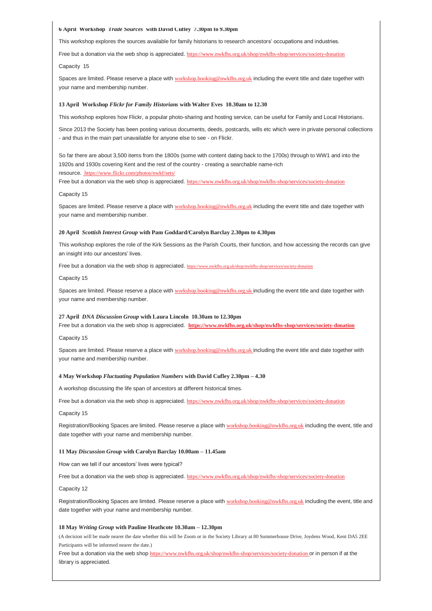#### **6 April Workshop** *Trade Sources* **with David Cufley 7.30pm to 9.30pm**

This workshop explores the sources available for family historians to research ancestors' occupations and industries.

Free but a donation via the web shop is appreciated. [https://www.nwkfhs.org.uk/shop/nwkfhs-shop/services/society-donation](https://nwkfhs.us4.list-manage.com/track/click?u=cde10858510442d6e71f0f3a6&id=742940c191&e=a709ee61ff)

Capacity 15

Spaces are limited. Please reserve a place with [workshop.booking@nwkfhs.org.uk](mailto:workshop.booking@nwkfhs.org.uk?subject=6%20April%20Trade%20Sources) including the event title and date together with your name and membership number.

#### **13 April Workshop** *Flickr for Family Historians* **with Walter Eves 10.30am to 12.30**

This workshop explores how Flickr, a popular photo-sharing and hosting service, can be useful for Family and Local Historians.

Since 2013 the Society has been posting various documents, deeds, postcards, wills etc which were in private personal collections - and thus in the main part unavailable for anyone else to see - on Flickr.

So far there are about 3,500 items from the 1800s (some with content dating back to the 1700s) through to WW1 and into the 1920s and 1930s covering Kent and the rest of the country - creating a searchable name-rich resource. [https://www.flickr.com/photos/nwkf/sets/](https://nwkfhs.us4.list-manage.com/track/click?u=cde10858510442d6e71f0f3a6&id=0fd4a4e48b&e=a709ee61ff)

Free but a donation via the web shop is appreciated. [https://www.nwkfhs.org.uk/shop/nwkfhs-shop/services/society-donation](https://nwkfhs.us4.list-manage.com/track/click?u=cde10858510442d6e71f0f3a6&id=aac5084e15&e=a709ee61ff)

#### Capacity 15

Spaces are limited. Please reserve a place with [workshop.booking@nwkfhs.org.uk](mailto:workshop.booking@nwkfhs.org.uk?subject=13%20April%20Flickr) including the event title and date together with your name and membership number.

#### **20 April** *Scottish Interest Group* **with Pam Goddard/Carolyn Barclay 2.30pm to 4.30pm**

This workshop explores the role of the Kirk Sessions as the Parish Courts, their function, and how accessing the records can give an insight into our ancestors' lives.

Free but a donation via the web shop is appreciated. [https://www.nwkfhs.org.uk/shop/nwkfhs-shop/services/society-donation](https://nwkfhs.us4.list-manage.com/track/click?u=cde10858510442d6e71f0f3a6&id=beef547ac4&e=a709ee61ff)

Capacity 15

Spaces are limited. Please reserve a place with [workshop.booking@nwkfhs.org.uk](mailto:workshop.booking@nwkfhs.org.uk?subject=20%20April%20Scottish%20Interest%20group) including the event title and date together with your name and membership number.

#### **27 April** *DNA Discussion Group* **with Laura Lincoln 10.30am to 12.30pm**

Free but a donation via the web shop is appreciated. **[https://www.nwkfhs.org.uk/shop/nwkfhs-shop/services/society-donation](https://nwkfhs.us4.list-manage.com/track/click?u=cde10858510442d6e71f0f3a6&id=e5d18b1317&e=a709ee61ff)**

Capacity 15

Spaces are limited. Please reserve a place with [workshop.booking@nwkfhs.org.uk](mailto:workshop.booking@nwkfhs.org.uk?subject=27%20April%20DNA%20Discussion) including the event title and date together with your name and membership number.

#### **4 May Workshop** *Fluctuating Population Numbers* **with David Cufley 2.30pm – 4.30**

A workshop discussing the life span of ancestors at different historical times.

Free but a donation via the web shop is appreciated. [https://www.nwkfhs.org.uk/shop/nwkfhs-shop/services/society-donation](https://nwkfhs.us4.list-manage.com/track/click?u=cde10858510442d6e71f0f3a6&id=e8329be78a&e=a709ee61ff)

Capacity 15

Registration/Booking Spaces are limited. Please reserve a place with [workshop.booking@nwkfhs.org.uk](mailto:workshop.booking@nwkfhs.org.uk?subject=Fluctuating%20Population%20Numbers%204%20May) including the event, title and date together with your name and membership number.

#### **11 May** *Discussion Group* **with Carolyn Barclay 10.00am – 11.45am**

How can we tell if our ancestors' lives were typical?

Free but a donation via the web shop is appreciated. [https://www.nwkfhs.org.uk/shop/nwkfhs-shop/services/society-donation](https://nwkfhs.us4.list-manage.com/track/click?u=cde10858510442d6e71f0f3a6&id=436a65e18d&e=a709ee61ff)

Capacity 12

Registration/Booking Spaces are limited. Please reserve a place with [workshop.booking@nwkfhs.org.uk](mailto:workshop.booking@nwkfhs.org.uk?subject=Zoom%20Discussion%20Group%2011%20May) including the event, title and date together with your name and membership number.

#### **18 May** *Writing Group* **with Pauline Heathcote 10.30am – 12.30pm**

(A decision will be made nearer the date whether this will be Zoom or in the Society Library at 80 Summerhouse Drive, Joydens Wood, Kent DA5 2EE Participants will be informed nearer the date.)

Free but a donation via the web shop [https://www.nwkfhs.org.uk/shop/nwkfhs-shop/services/society-donation](https://nwkfhs.us4.list-manage.com/track/click?u=cde10858510442d6e71f0f3a6&id=dbfac168cd&e=a709ee61ff) or in person if at the library is appreciated.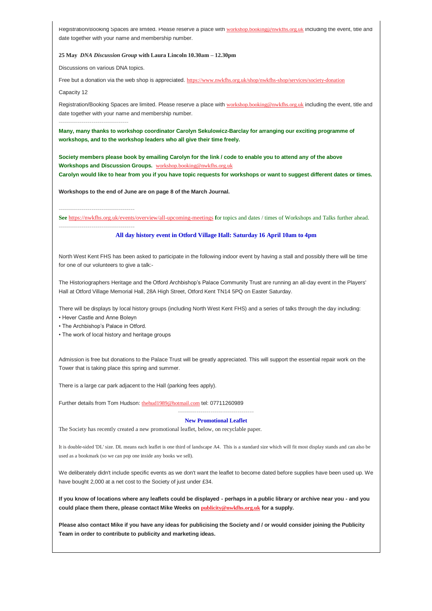Registration/Booking Spaces are limited. Please reserve a place with [workshop.booking@nwkfhs.org.uk](mailto:workshop.booking@nwkfhs.org.uk?subject=18%20May%20Writing%20Group) including the event, title and date together with your name and membership number.

#### **25 May** *DNA Discussion Group* **with Laura Lincoln 10.30am – 12.30pm**

Discussions on various DNA topics.

Free but a donation via the web shop is appreciated. [https://www.nwkfhs.org.uk/shop/nwkfhs-shop/services/society-donation](https://nwkfhs.us4.list-manage.com/track/click?u=cde10858510442d6e71f0f3a6&id=3f166785c8&e=a709ee61ff)

Capacity 12

Registration/Booking Spaces are limited. Please reserve a place with [workshop.booking@nwkfhs.org.uk](mailto:workshop.booking@nwkfhs.org.uk?subject=25%20May%20Zoom%20DNA%20Discussion%20Group) including the event, title and date together with your name and membership number.

**----------------------------------**

**Many, many thanks to workshop coordinator Carolyn Sekulowicz-Barclay for arranging our exciting programme of workshops, and to the workshop leaders who all give their time freely.**

**Society members please book by emailing Carolyn for the link / code to enable you to attend any of the above Workshops and Discussion Groups.** [workshop.booking@nwkfhs.org.uk](mailto:workshop.booking@nwkfhs.org.uk?subject=NWKFHS%20Workshops)

**Carolyn would like to hear from you if you have topic requests for workshops or want to suggest different dates or times.**

**Workshops to the end of June are on page 8 of the March Journal.**

**-------------------------------------**

**See** [https://nwkfhs.org.uk/events/overview/all-upcoming-meetings](https://nwkfhs.us4.list-manage.com/track/click?u=cde10858510442d6e71f0f3a6&id=b3ff9c6c11&e=a709ee61ff) **f**or topics and dates / times of Workshops and Talks further ahead. **-------------------------------------**

## **All day history event in Otford Village Hall: Saturday 16 April 10am to 4pm**

North West Kent FHS has been asked to participate in the following indoor event by having a stall and possibly there will be time for one of our volunteers to give a talk:-

The Historiographers Heritage and the Otford Archbishop's Palace Community Trust are running an all-day event in the Players' Hall at Otford Village Memorial Hall, 28A High Street, Otford Kent TN14 5PQ on Easter Saturday.

There will be displays by local history groups (including North West Kent FHS) and a series of talks through the day including: • Hever Castle and Anne Boleyn

• The Archbishop's Palace in Otford.

• The work of local history and heritage groups

Admission is free but donations to the Palace Trust will be greatly appreciated. This will support the essential repair work on the Tower that is taking place this spring and summer.

There is a large car park adjacent to the Hall (parking fees apply).

Further details from Tom Hudson: [thehud1989@hotmail.com](mailto:thehud1989@hotmail.com?subject=Otford%20History%20Event%20on%20Saturday%2016%20April) tel: 07711260989

#### **New Promotional Leaflet**

**-------------------------------------**

The Society has recently created a new promotional leaflet, below, on recyclable paper.

It is double-sided 'DL' size. DL means each leaflet is one third of landscape A4. This is a standard size which will fit most display stands and can also be used as a bookmark (so we can pop one inside any books we sell).

We deliberately didn't include specific events as we don't want the leaflet to become dated before supplies have been used up. We have bought 2,000 at a net cost to the Society of just under £34.

**If you know of locations where any leaflets could be displayed - perhaps in a public library or archive near you - and you could place them there, please contact Mike Weeks on [publicity@nwkfhs.org.uk](mailto:publicity@nwkfhs.org.uk?subject=Promotional%20Leaflets) for a supply.**

**Please also contact Mike if you have any ideas for publicising the Society and / or would consider joining the Publicity Team in order to contribute to publicity and marketing ideas.**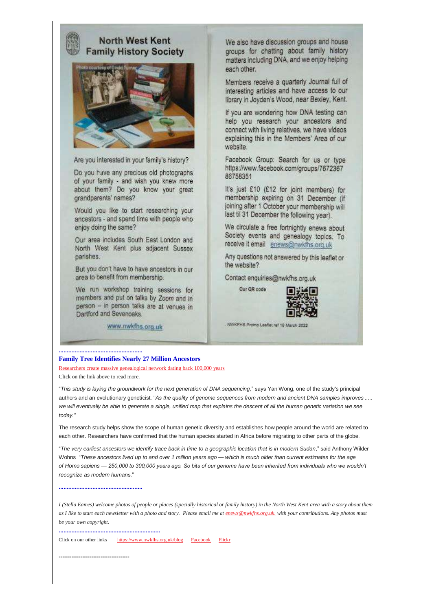# **North West Kent Family History Society**



Are you interested in your family's history?

Do you have any precious old photographs of your family - and wish you knew more about them? Do you know your great grandparents' names?

Would you like to start researching your ancestors - and spend time with people who enjoy doing the same?

Our area includes South East London and North West Kent plus adjacent Sussex parishes.

But you don't have to have ancestors in our area to benefit from membership.

We run workshop training sessions for members and put on talks by Zoom and in person - in person talks are at venues in Dartford and Sevenoaks.

www.nwkfhs.org.uk

We also have discussion groups and house groups for chatting about family history matters including DNA, and we enjoy helping each other.

Members receive a quarterly Journal full of interesting articles and have access to our library in Joyden's Wood, near Bexley, Kent.

If you are wondering how DNA testing can help you research your ancestors and connect with living relatives, we have videos explaining this in the Members' Area of our website.

Facebook Group: Search for us or type https://www.facebook.com/groups/7672367 86758351

It's just £10 (£12 for joint members) for membership expiring on 31 December (if joining after 1 October your membership will last til 31 December the following year).

We circulate a free fortnightly enews about Society events and genealogy topics. To receive it email enews@nwkfhs.org.uk

Any questions not answered by this leaflet or the website?

Contact enquiries@nwkfhs.org.uk

Our QR code



NWKFHS Promo Leaflet ref 18 March 2022

#### **Family Tree Identifies Nearly 27 Million Ancestors**

[Researchers create massive genealogical network dating back 100,000 years](https://nwkfhs.us4.list-manage.com/track/click?u=cde10858510442d6e71f0f3a6&id=9f0800c513&e=a709ee61ff) Click on the link above to read more.

"*This study is laying the groundwork for the next generation of DNA sequencing,*" says Yan Wong, one of the study's principal authors and an evolutionary geneticist. "*As the quality of genome sequences from modern and ancient DNA samples improves ..... we will eventually be able to generate a single, unified map that explains the descent of all the human genetic variation we see today."*

The research study helps show the scope of human genetic diversity and establishes how people around the world are related to each other. Researchers have confirmed that the human species started in Africa before migrating to other parts of the globe.

"*The very earliest ancestors we identify trace back in time to a geographic location that is in modern Sudan*," said Anthony Wilder Wohns "*These ancestors lived up to and over 1 million years ago — which is much older than current estimates for the age of Homo sapiens — 250,000 to 300,000 years ago. So bits of our genome have been inherited from individuals who we wouldn't recognize as modern human*s."

**....................................................**

**....................................................**

*I (Stella Eames) welcome photos of people or places (specially historical or family history) in the North West Kent area with a story about them as I like to start each newsletter with a photo and story. Please email me at [enews@nwkfhs.org.uk.](mailto:enews@nwkfhs.org.uk) with your contributions. Any photos must be your own copyright.*

**...............................................................**

Click on our other links [https://www.nwkfhs.org.uk/blog](https://nwkfhs.us4.list-manage.com/track/click?u=cde10858510442d6e71f0f3a6&id=01f6c6a572&e=a709ee61ff) [Facebook](https://nwkfhs.us4.list-manage.com/track/click?u=cde10858510442d6e71f0f3a6&id=c6bdc80828&e=a709ee61ff) [Flickr](https://nwkfhs.us4.list-manage.com/track/click?u=cde10858510442d6e71f0f3a6&id=8f63f207ab&e=a709ee61ff)

**---------------------------------------**